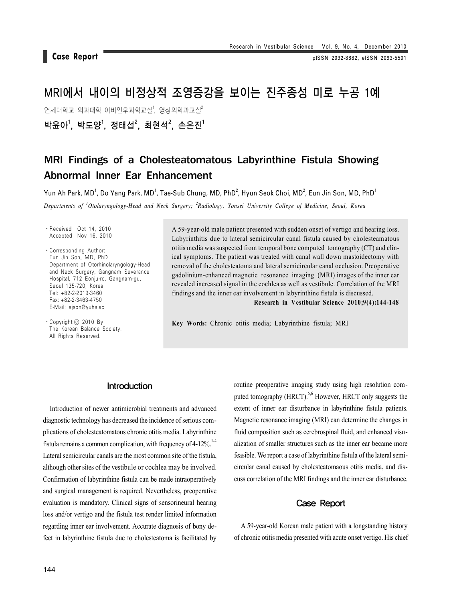**Case Report Case Report pISSN 2092-8882, eISSN 2093-5501** 

# MRI에서 내이의 비정상적 조영증강을 보이는 진주종성 미로 누공 1예

연세대학교 의과대학 이비인후과학교실', 영상의학과교실 $^2$ 

박윤아 $^{\rm 1}$ , 박도양 $^{\rm 1}$ , 정태섭 $^{\rm 2}$ , 최현석 $^{\rm 2}$ , 손은진 $^{\rm 1}$ 

## MRI Findings of a Cholesteatomatous Labyrinthine Fistula Showing Abnormal Inner Ear Enhancement

Yun Ah Park, MD $^{\rm l}$ , Do Yang Park, MD $^{\rm l}$ , Tae-Sub Chung, MD, PhD $^{\rm 2}$ , Hyun Seok Choi, MD $^{\rm l}$ , Eun Jin Son, MD, PhD $^{\rm l}$ *Departments of <sup>1</sup> Otolaryngology-Head and Neck Surgery; <sup>2</sup> Radiology, Yonsei University College of Medicine, Seoul, Korea*

⋅Received Oct 14, 2010 Accepted Nov 16, 2010

⋅Corresponding Author: Eun Jin Son, MD, PhD Department of Otorhinolaryngology-Head and Neck Surgery, Gangnam Severance Hospital, 712 Eonju-ro, Gangnam-gu, Seoul 135-720, Korea Tel: +82-2-2019-3460 Fax: +82-2-3463-4750 E-Mail: ejson@yuhs.ac

⋅Copyright ⓒ 2010 By The Korean Balance Society. All Rights Reserved.

A 59-year-old male patient presented with sudden onset of vertigo and hearing loss. Labyrinthitis due to lateral semicircular canal fistula caused by cholesteamatous otitis media was suspected from temporal bone computed tomography (CT) and clinical symptoms. The patient was treated with canal wall down mastoidectomy with removal of the cholesteatoma and lateral semicircular canal occlusion. Preoperative gadolinium-enhanced magnetic resonance imaging (MRI) images of the inner ear revealed increased signal in the cochlea as well as vestibule. Correlation of the MRI findings and the inner ear involvement in labyrinthine fistula is discussed.

**Research in Vestibular Science 2010;9(4):144-148**

**Key Words:** Chronic otitis media; Labyrinthine fistula; MRI

#### Introduction

Introduction of newer antimicrobial treatments and advanced diagnostic technology has decreased the incidence of serious complications of cholesteatomatous chronic otitis media. Labyrinthine fistula remains a common complication, with frequency of  $4-12\%$ .<sup>1-4</sup> Lateral semicircular canals are the most common site of the fistula, although other sites of the vestibule or cochlea may be involved. Confirmation of labyrinthine fistula can be made intraoperatively and surgical management is required. Nevertheless, preoperative evaluation is mandatory. Clinical signs of sensorineural hearing loss and/or vertigo and the fistula test render limited information regarding inner ear involvement. Accurate diagnosis of bony defect in labyrinthine fistula due to cholesteatoma is facilitated by routine preoperative imaging study using high resolution computed tomography (HRCT).<sup>5,6</sup> However, HRCT only suggests the extent of inner ear disturbance in labyrinthine fistula patients. Magnetic resonance imaging (MRI) can determine the changes in fluid composition such as cerebrospinal fluid, and enhanced visualization of smaller structures such as the inner ear became more feasible. We report a case of labyrinthine fistula of the lateral semicircular canal caused by cholesteatomaous otitis media, and discuss correlation of the MRI findings and the inner ear disturbance.

#### Case Report

A 59-year-old Korean male patient with a longstanding history of chronic otitis media presented with acute onset vertigo. His chief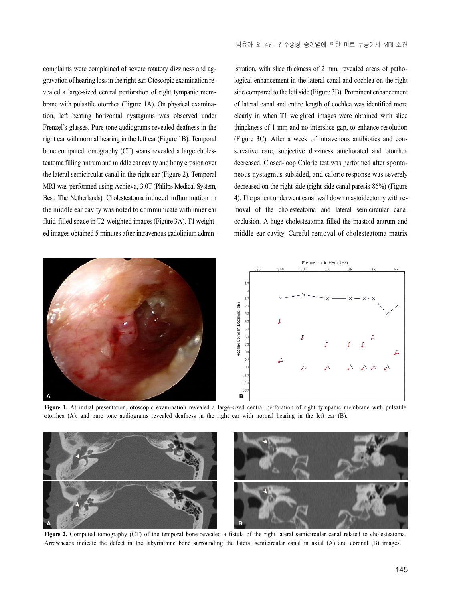complaints were complained of severe rotatory dizziness and aggravation of hearing loss in the right ear. Otoscopic examination revealed a large-sized central perforation of right tympanic membrane with pulsatile otorrhea (Figure 1A). On physical examination, left beating horizontal nystagmus was observed under Frenzel's glasses. Pure tone audiograms revealed deafness in the right ear with normal hearing in the left ear (Figure 1B). Temporal bone computed tomography (CT) scans revealed a large cholesteatoma filling antrum and middle ear cavity and bony erosion over the lateral semicircular canal in the right ear (Figure 2). Temporal MRI was performed using Achieva, 3.0T (Phlilps Medical System, Best, The Netherlands). Cholesteatoma induced inflammation in the middle ear cavity was noted to communicate with inner ear fluid-filled space in T2-weighted images (Figure 3A). T1 weighted images obtained 5 minutes after intravenous gadolinium admin-

istration, with slice thickness of 2 mm, revealed areas of pathological enhancement in the lateral canal and cochlea on the right side compared to the left side (Figure 3B). Prominent enhancement of lateral canal and entire length of cochlea was identified more clearly in when T1 weighted images were obtained with slice thinckness of 1 mm and no interslice gap, to enhance resolution (Figure 3C). After a week of intravenous antibiotics and conservative care, subjective dizziness ameliorated and otorrhea decreased. Closed-loop Caloric test was performed after spontaneous nystagmus subsided, and caloric response was severely decreased on the right side (right side canal paresis 86%) (Figure 4). The patient underwent canal wall down mastoidectomy with removal of the cholesteatoma and lateral semicircular canal occlusion. A huge cholesteatoma filled the mastoid antrum and middle ear cavity. Careful removal of cholesteatoma matrix



**Figure 1.** At initial presentation, otoscopic examination revealed a large-sized central perforation of right tympanic membrane with pulsatile otorrhea (A), and pure tone audiograms revealed deafness in the right ear with normal hearing in the left ear (B).



Figure 2. Computed tomography (CT) of the temporal bone revealed a fistula of the right lateral semicircular canal related to cholesteatoma. Arrowheads indicate the defect in the labyrinthine bone surrounding the lateral semicircular canal in axial (A) and coronal (B) images.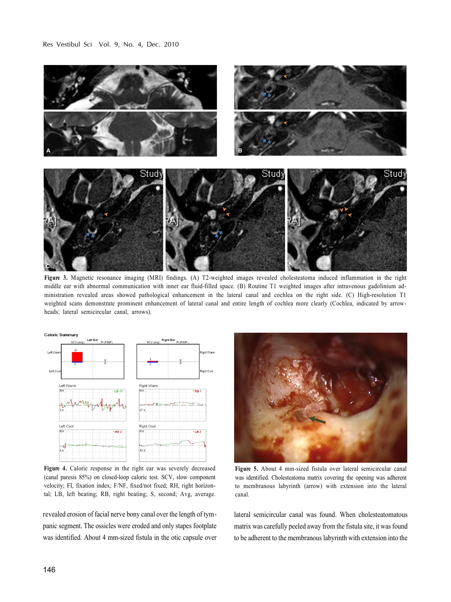

**Figure 3.** Magnetic resonance imaging (MRI) findings. (A) T2-weighted images revealed cholesteatoma induced inflammation in the right middle ear with abnormal communication with inner ear fluid-filled space. (B) Routine T1 weighted images after intravenous gadolinium administration revealed areas showed pathological enhancement in the lateral canal and cochlea on the right side. (C) High-resolution T1 weighted scans demonstrate prominent enhancement of lateral canal and entire length of cochlea more clearly (Cochlea, indicated by arrowheads; lateral semicircular canal, arrows).



**Figure 4.** Caloric response in the right ear was severely decreased (canal paresis 85%) on closed-loop caloric test. SCV, slow component velocity; FI, fixation index; F/NF, fixed/not fixed; RH, right horizontal; LB, left beating; RB, right beating; S, second; Avg, average.

revealed erosion of facial nerve bony canal over the length of tympanic segment. The ossicles were eroded and only stapes footplate was identified. About 4 mm-sized fistula in the otic capsule over



**Figure 5.** About 4 mm-sized fistula over lateral semicircular canal was identified. Cholesteatoma matrix covering the opening was adherent to membranous labyrinth (arrow) with extension into the lateral canal.

lateral semicircular canal was found. When cholesteatomatous matrix was carefully peeled away from the fistula site, it was found to be adherent to the membranous labyrinth with extension into the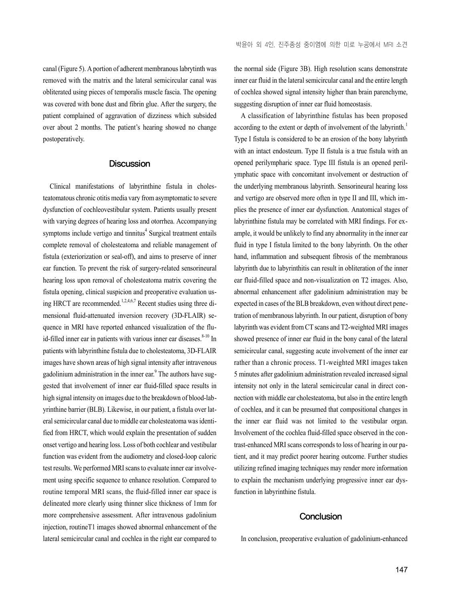canal (Figure 5). A portion of adherent membranous labrytinth was removed with the matrix and the lateral semicircular canal was obliterated using pieces of temporalis muscle fascia. The opening was covered with bone dust and fibrin glue. After the surgery, the patient complained of aggravation of dizziness which subsided over about 2 months. The patient's hearing showed no change postoperatively.

#### **Discussion**

Clinical manifestations of labyrinthine fistula in cholesteatomatous chronic otitis media vary from asymptomatic to severe dysfunction of cochleovestibular system. Patients usually present with varying degrees of hearing loss and otorrhea. Accompanying symptoms include vertigo and tinnitus<sup>4</sup> Surgical treatment entails complete removal of cholesteatoma and reliable management of fistula (exteriorization or seal-off), and aims to preserve of inner ear function. To prevent the risk of surgery-related sensorineural hearing loss upon removal of cholesteatoma matrix covering the fistula opening, clinical suspicion and preoperative evaluation using HRCT are recommended.<sup>1,2,4,6,7</sup> Recent studies using three dimensional fluid-attenuated inversion recovery (3D-FLAIR) sequence in MRI have reported enhanced visualization of the fluid-filled inner ear in patients with various inner ear diseases. $8-10$  In patients with labyrinthine fistula due to cholesteatoma, 3D-FLAIR images have shown areas of high signal intensity after intravenous gadolinium administration in the inner ear.<sup>9</sup> The authors have suggested that involvement of inner ear fluid-filled space results in high signal intensity on images due to the breakdown of blood-labyrinthine barrier (BLB). Likewise, in our patient, a fistula over lateral semicircular canal due to middle ear cholesteatoma was identified from HRCT, which would explain the presentation of sudden onset vertigo and hearing loss. Loss of both cochlear and vestibular function was evident from the audiometry and closed-loop caloric test results. We performed MRI scans to evaluate inner ear involvement using specific sequence to enhance resolution. Compared to routine temporal MRI scans, the fluid-filled inner ear space is delineated more clearly using thinner slice thickness of 1mm for more comprehensive assessment. After intravenous gadolinium injection, routineT1 images showed abnormal enhancement of the lateral semicircular canal and cochlea in the right ear compared to

the normal side (Figure 3B). High resolution scans demonstrate inner ear fluid in the lateral semicircular canal and the entire length of cochlea showed signal intensity higher than brain parenchyme, suggesting disruption of inner ear fluid homeostasis.

A classification of labyrinthine fistulas has been proposed according to the extent or depth of involvement of the labyrinth.<sup>1</sup> Type I fistula is considered to be an erosion of the bony labyrinth with an intact endosteum. Type II fistula is a true fistula with an opened perilympharic space. Type III fistula is an opened perilymphatic space with concomitant involvement or destruction of the underlying membranous labyrinth. Sensorineural hearing loss and vertigo are observed more often in type II and III, which implies the presence of inner ear dysfunction. Anatomical stages of labyrinthine fistula may be correlated with MRI findings. For example, it would be unlikely to find any abnormality in the inner ear fluid in type I fistula limited to the bony labyrinth. On the other hand, inflammation and subsequent fibrosis of the membranous labyrinth due to labyrinthitis can result in obliteration of the inner ear fluid-filled space and non-visualization on T2 images. Also, abnormal enhancement after gadolinium administration may be expected in cases of the BLB breakdown, even without direct penetration of membranous labyrinth. In our patient, disruption of bony labyrinth was evident from CT scans and T2-weighted MRI images showed presence of inner ear fluid in the bony canal of the lateral semicircular canal, suggesting acute involvement of the inner ear rather than a chronic process. T1-weighted MRI images taken 5 minutes after gadolinium administration revealed increased signal intensity not only in the lateral semicircular canal in direct connection with middle ear cholesteatoma, but also in the entire length of cochlea, and it can be presumed that compositional changes in the inner ear fluid was not limited to the vestibular organ. Involvement of the cochlea fluid-filled space observed in the contrast-enhanced MRI scans corresponds to loss of hearing in our patient, and it may predict poorer hearing outcome. Further studies utilizing refined imaging techniques may render more information to explain the mechanism underlying progressive inner ear dysfunction in labyrinthine fistula.

### **Conclusion**

In conclusion, preoperative evaluation of gadolinium-enhanced